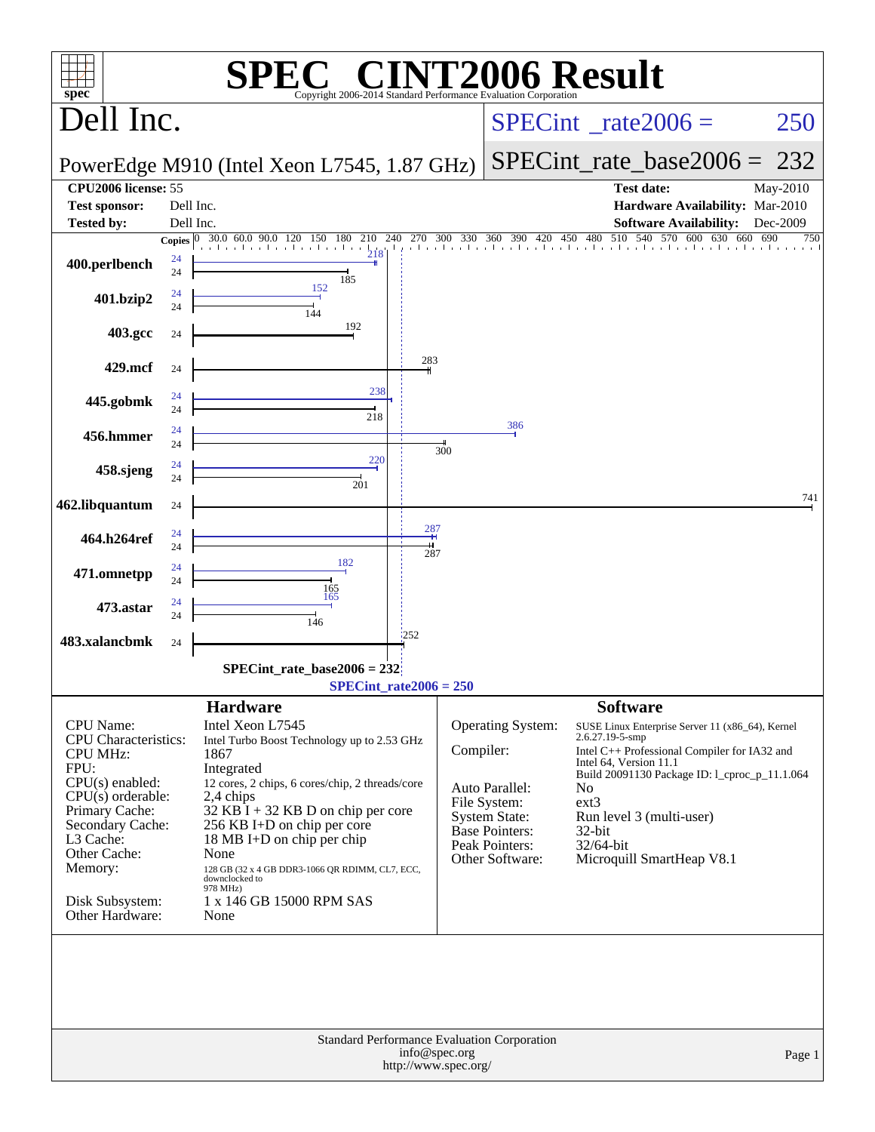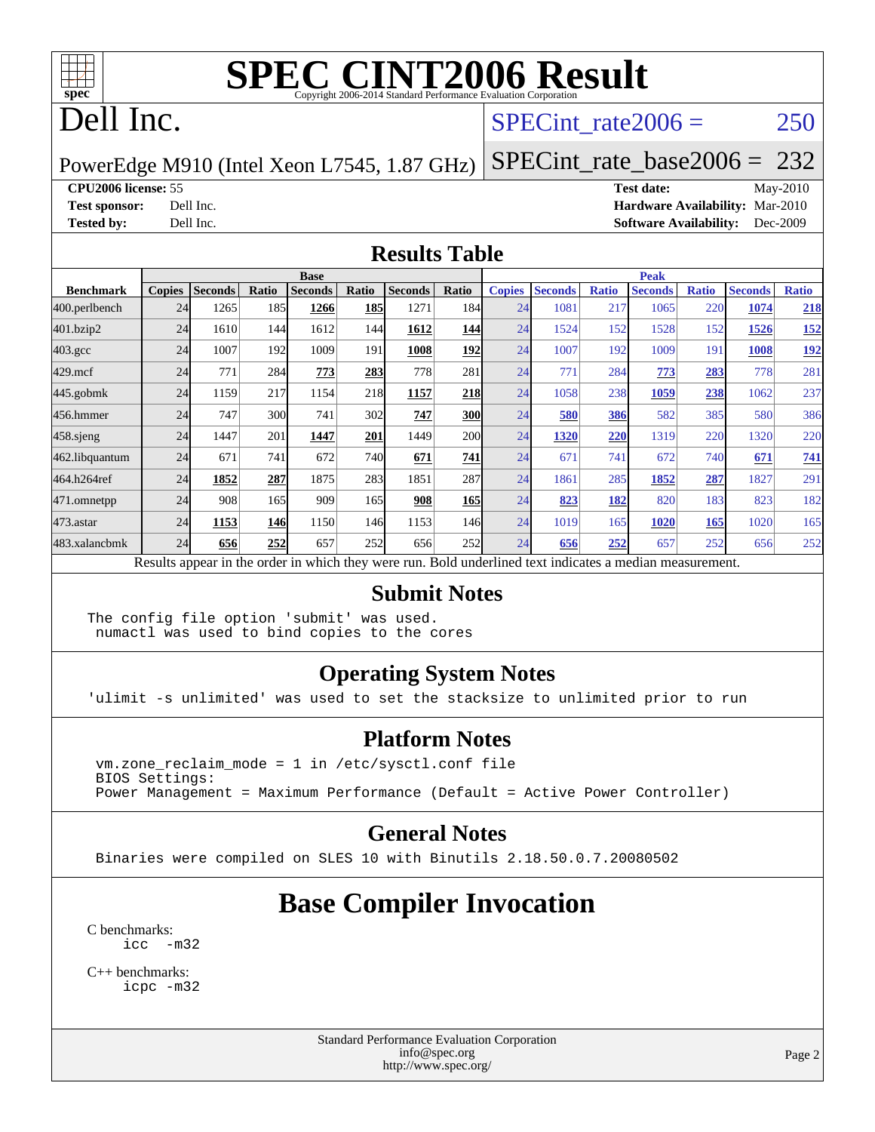

### Dell Inc.

#### SPECint rate $2006 = 250$

#### PowerEdge M910 (Intel Xeon L7545, 1.87 GHz) [SPECint\\_rate\\_base2006 =](http://www.spec.org/auto/cpu2006/Docs/result-fields.html#SPECintratebase2006) 232

**[CPU2006 license:](http://www.spec.org/auto/cpu2006/Docs/result-fields.html#CPU2006license)** 55 **[Test date:](http://www.spec.org/auto/cpu2006/Docs/result-fields.html#Testdate)** May-2010 **[Test sponsor:](http://www.spec.org/auto/cpu2006/Docs/result-fields.html#Testsponsor)** Dell Inc. **[Hardware Availability:](http://www.spec.org/auto/cpu2006/Docs/result-fields.html#HardwareAvailability)** Mar-2010 **[Tested by:](http://www.spec.org/auto/cpu2006/Docs/result-fields.html#Testedby)** Dell Inc. **[Software Availability:](http://www.spec.org/auto/cpu2006/Docs/result-fields.html#SoftwareAvailability)** Dec-2009

#### **[Results Table](http://www.spec.org/auto/cpu2006/Docs/result-fields.html#ResultsTable)**

|                    | <b>Base</b>   |                |       |                |            |                                                                                                          |       | <b>Peak</b>   |                |              |                |              |                |              |
|--------------------|---------------|----------------|-------|----------------|------------|----------------------------------------------------------------------------------------------------------|-------|---------------|----------------|--------------|----------------|--------------|----------------|--------------|
| <b>Benchmark</b>   | <b>Copies</b> | <b>Seconds</b> | Ratio | <b>Seconds</b> | Ratio      | <b>Seconds</b>                                                                                           | Ratio | <b>Copies</b> | <b>Seconds</b> | <b>Ratio</b> | <b>Seconds</b> | <b>Ratio</b> | <b>Seconds</b> | <b>Ratio</b> |
| 400.perlbench      | 24            | 1265           | 185   | 1266           | <b>185</b> | 1271                                                                                                     | 184   | 24            | 1081           | 217          | 1065           | 220          | 1074           | 218          |
| 401.bzip2          | 24            | 1610           | 144   | 1612           | 144        | 1612                                                                                                     | 144   | 24            | 1524           | 152          | 1528           | 152          | 1526           | 152          |
| $403.\mathrm{gcc}$ | 24            | 1007           | 192   | 1009           | 191        | 1008                                                                                                     | 192   | 24            | 1007           | 192          | 1009           | 191          | 1008           | <u>192</u>   |
| $429$ .mcf         | 24            | 771            | 284   | 773            | 283        | 778                                                                                                      | 281   | 24            | 771            | 284          | 773            | 283          | 778            | 281          |
| $445$ .gobmk       | 24            | 1159           | 217   | 1154           | 218        | 1157                                                                                                     | 218   | 24            | 1058           | 238          | 1059           | 238          | 1062           | 237          |
| 456.hmmer          | 24            | 747            | 300   | 741            | 302        | 747                                                                                                      | 300   | 24            | 580            | 386          | 582            | 385          | 580            | 386          |
| $458$ .sjeng       | 24            | 1447           | 201   | 1447           | 201        | 1449                                                                                                     | 200   | 24            | 1320           | 220          | 1319           | 220          | 1320           | 220          |
| 462.libquantum     | 24            | 671            | 741   | 672            | 740        | 671                                                                                                      | 741   | 24            | 671            | 741          | 672            | 740          | 671            | 741          |
| 464.h264ref        | 24            | 1852           | 287   | 1875           | 283        | 1851                                                                                                     | 287   | 24            | 1861           | 285          | 1852           | 287          | 1827           | 291          |
| 471.omnetpp        | 24            | 908            | 165   | 909            | 165I       | 908                                                                                                      | 165   | 24            | 823            | 182          | 820            | 183          | 823            | 182          |
| $473$ . astar      | 24            | 1153           | 146   | 1150           | 146        | 1153                                                                                                     | 146   | 24            | 1019           | 165          | 1020           | 165          | 1020           | 165          |
| 483.xalancbmk      | 24            | 656            | 252   | 657            | 252        | 656                                                                                                      | 252   | 24            | 656            | 252          | 657            | 252          | 656            | 252          |
|                    |               |                |       |                |            | Results appear in the order in which they were run. Bold underlined text indicates a median measurement. |       |               |                |              |                |              |                |              |

#### **[Submit Notes](http://www.spec.org/auto/cpu2006/Docs/result-fields.html#SubmitNotes)**

The config file option 'submit' was used. numactl was used to bind copies to the cores

#### **[Operating System Notes](http://www.spec.org/auto/cpu2006/Docs/result-fields.html#OperatingSystemNotes)**

'ulimit -s unlimited' was used to set the stacksize to unlimited prior to run

#### **[Platform Notes](http://www.spec.org/auto/cpu2006/Docs/result-fields.html#PlatformNotes)**

 $vm.zone$  reclaim mode = 1 in /etc/sysctl.conf file BIOS Settings: Power Management = Maximum Performance (Default = Active Power Controller)

#### **[General Notes](http://www.spec.org/auto/cpu2006/Docs/result-fields.html#GeneralNotes)**

Binaries were compiled on SLES 10 with Binutils 2.18.50.0.7.20080502

#### **[Base Compiler Invocation](http://www.spec.org/auto/cpu2006/Docs/result-fields.html#BaseCompilerInvocation)**

[C benchmarks](http://www.spec.org/auto/cpu2006/Docs/result-fields.html#Cbenchmarks): [icc -m32](http://www.spec.org/cpu2006/results/res2010q3/cpu2006-20100607-11606.flags.html#user_CCbase_intel_icc_32bit_5ff4a39e364c98233615fdd38438c6f2)

[C++ benchmarks:](http://www.spec.org/auto/cpu2006/Docs/result-fields.html#CXXbenchmarks) [icpc -m32](http://www.spec.org/cpu2006/results/res2010q3/cpu2006-20100607-11606.flags.html#user_CXXbase_intel_icpc_32bit_4e5a5ef1a53fd332b3c49e69c3330699)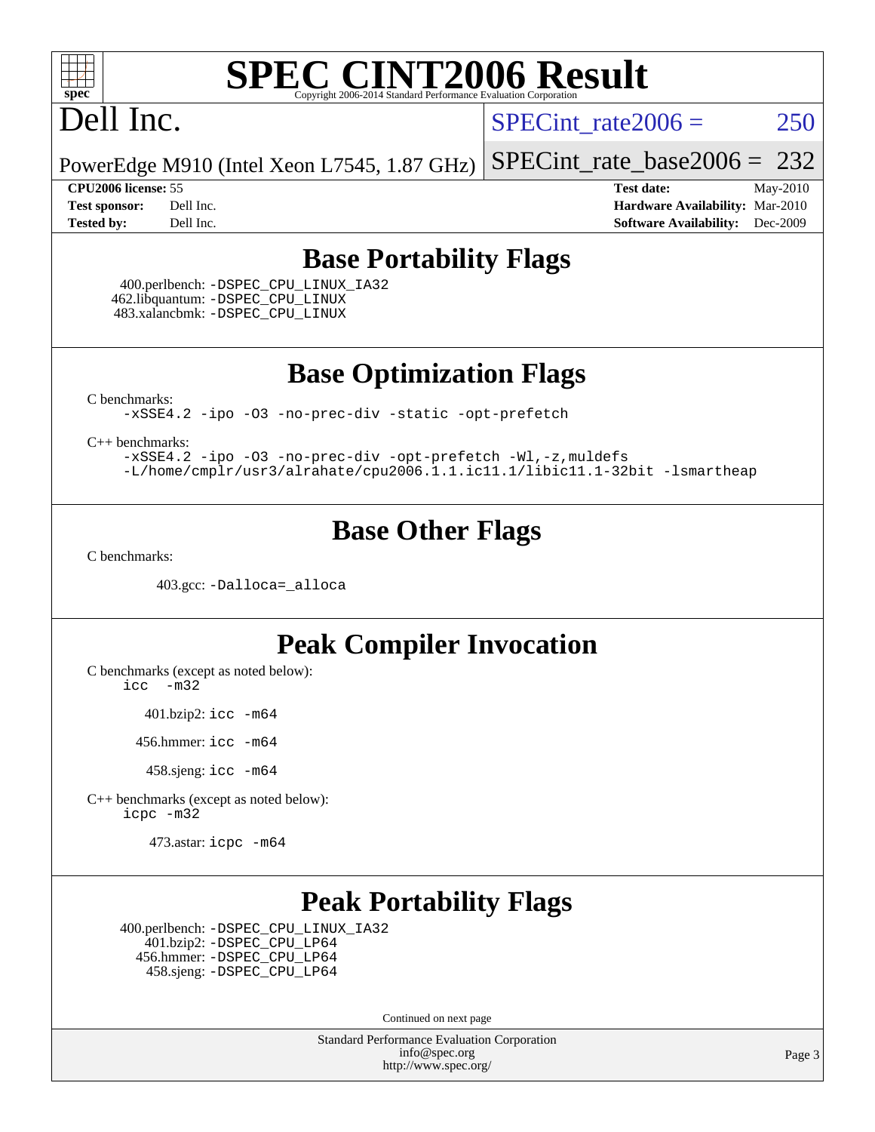

### Dell Inc.

SPECint rate $2006 = 250$ 

[SPECint\\_rate\\_base2006 =](http://www.spec.org/auto/cpu2006/Docs/result-fields.html#SPECintratebase2006) 232

PowerEdge M910 (Intel Xeon L7545, 1.87 GHz)

**[CPU2006 license:](http://www.spec.org/auto/cpu2006/Docs/result-fields.html#CPU2006license)** 55 **[Test date:](http://www.spec.org/auto/cpu2006/Docs/result-fields.html#Testdate)** May-2010 **[Test sponsor:](http://www.spec.org/auto/cpu2006/Docs/result-fields.html#Testsponsor)** Dell Inc. **[Hardware Availability:](http://www.spec.org/auto/cpu2006/Docs/result-fields.html#HardwareAvailability)** Mar-2010 **[Tested by:](http://www.spec.org/auto/cpu2006/Docs/result-fields.html#Testedby)** Dell Inc. **[Software Availability:](http://www.spec.org/auto/cpu2006/Docs/result-fields.html#SoftwareAvailability)** Dec-2009

#### **[Base Portability Flags](http://www.spec.org/auto/cpu2006/Docs/result-fields.html#BasePortabilityFlags)**

 400.perlbench: [-DSPEC\\_CPU\\_LINUX\\_IA32](http://www.spec.org/cpu2006/results/res2010q3/cpu2006-20100607-11606.flags.html#b400.perlbench_baseCPORTABILITY_DSPEC_CPU_LINUX_IA32) 462.libquantum: [-DSPEC\\_CPU\\_LINUX](http://www.spec.org/cpu2006/results/res2010q3/cpu2006-20100607-11606.flags.html#b462.libquantum_baseCPORTABILITY_DSPEC_CPU_LINUX) 483.xalancbmk: [-DSPEC\\_CPU\\_LINUX](http://www.spec.org/cpu2006/results/res2010q3/cpu2006-20100607-11606.flags.html#b483.xalancbmk_baseCXXPORTABILITY_DSPEC_CPU_LINUX)

**[Base Optimization Flags](http://www.spec.org/auto/cpu2006/Docs/result-fields.html#BaseOptimizationFlags)**

[C benchmarks](http://www.spec.org/auto/cpu2006/Docs/result-fields.html#Cbenchmarks):

[-xSSE4.2](http://www.spec.org/cpu2006/results/res2010q3/cpu2006-20100607-11606.flags.html#user_CCbase_f-xSSE42_f91528193cf0b216347adb8b939d4107) [-ipo](http://www.spec.org/cpu2006/results/res2010q3/cpu2006-20100607-11606.flags.html#user_CCbase_f-ipo) [-O3](http://www.spec.org/cpu2006/results/res2010q3/cpu2006-20100607-11606.flags.html#user_CCbase_f-O3) [-no-prec-div](http://www.spec.org/cpu2006/results/res2010q3/cpu2006-20100607-11606.flags.html#user_CCbase_f-no-prec-div) [-static](http://www.spec.org/cpu2006/results/res2010q3/cpu2006-20100607-11606.flags.html#user_CCbase_f-static) [-opt-prefetch](http://www.spec.org/cpu2006/results/res2010q3/cpu2006-20100607-11606.flags.html#user_CCbase_f-opt-prefetch)

[C++ benchmarks:](http://www.spec.org/auto/cpu2006/Docs/result-fields.html#CXXbenchmarks)

[-xSSE4.2](http://www.spec.org/cpu2006/results/res2010q3/cpu2006-20100607-11606.flags.html#user_CXXbase_f-xSSE42_f91528193cf0b216347adb8b939d4107) [-ipo](http://www.spec.org/cpu2006/results/res2010q3/cpu2006-20100607-11606.flags.html#user_CXXbase_f-ipo) [-O3](http://www.spec.org/cpu2006/results/res2010q3/cpu2006-20100607-11606.flags.html#user_CXXbase_f-O3) [-no-prec-div](http://www.spec.org/cpu2006/results/res2010q3/cpu2006-20100607-11606.flags.html#user_CXXbase_f-no-prec-div) [-opt-prefetch](http://www.spec.org/cpu2006/results/res2010q3/cpu2006-20100607-11606.flags.html#user_CXXbase_f-opt-prefetch) [-Wl,-z,muldefs](http://www.spec.org/cpu2006/results/res2010q3/cpu2006-20100607-11606.flags.html#user_CXXbase_link_force_multiple1_74079c344b956b9658436fd1b6dd3a8a) [-L/home/cmplr/usr3/alrahate/cpu2006.1.1.ic11.1/libic11.1-32bit -lsmartheap](http://www.spec.org/cpu2006/results/res2010q3/cpu2006-20100607-11606.flags.html#user_CXXbase_SmartHeap_d86dffe4a79b79ef8890d5cce17030c3)

#### **[Base Other Flags](http://www.spec.org/auto/cpu2006/Docs/result-fields.html#BaseOtherFlags)**

[C benchmarks](http://www.spec.org/auto/cpu2006/Docs/result-fields.html#Cbenchmarks):

403.gcc: [-Dalloca=\\_alloca](http://www.spec.org/cpu2006/results/res2010q3/cpu2006-20100607-11606.flags.html#b403.gcc_baseEXTRA_CFLAGS_Dalloca_be3056838c12de2578596ca5467af7f3)

#### **[Peak Compiler Invocation](http://www.spec.org/auto/cpu2006/Docs/result-fields.html#PeakCompilerInvocation)**

[C benchmarks \(except as noted below\)](http://www.spec.org/auto/cpu2006/Docs/result-fields.html#Cbenchmarksexceptasnotedbelow):

[icc -m32](http://www.spec.org/cpu2006/results/res2010q3/cpu2006-20100607-11606.flags.html#user_CCpeak_intel_icc_32bit_5ff4a39e364c98233615fdd38438c6f2)

401.bzip2: [icc -m64](http://www.spec.org/cpu2006/results/res2010q3/cpu2006-20100607-11606.flags.html#user_peakCCLD401_bzip2_intel_icc_64bit_bda6cc9af1fdbb0edc3795bac97ada53)

456.hmmer: [icc -m64](http://www.spec.org/cpu2006/results/res2010q3/cpu2006-20100607-11606.flags.html#user_peakCCLD456_hmmer_intel_icc_64bit_bda6cc9af1fdbb0edc3795bac97ada53)

458.sjeng: [icc -m64](http://www.spec.org/cpu2006/results/res2010q3/cpu2006-20100607-11606.flags.html#user_peakCCLD458_sjeng_intel_icc_64bit_bda6cc9af1fdbb0edc3795bac97ada53)

[C++ benchmarks \(except as noted below\):](http://www.spec.org/auto/cpu2006/Docs/result-fields.html#CXXbenchmarksexceptasnotedbelow) [icpc -m32](http://www.spec.org/cpu2006/results/res2010q3/cpu2006-20100607-11606.flags.html#user_CXXpeak_intel_icpc_32bit_4e5a5ef1a53fd332b3c49e69c3330699)

473.astar: [icpc -m64](http://www.spec.org/cpu2006/results/res2010q3/cpu2006-20100607-11606.flags.html#user_peakCXXLD473_astar_intel_icpc_64bit_fc66a5337ce925472a5c54ad6a0de310)

#### **[Peak Portability Flags](http://www.spec.org/auto/cpu2006/Docs/result-fields.html#PeakPortabilityFlags)**

 400.perlbench: [-DSPEC\\_CPU\\_LINUX\\_IA32](http://www.spec.org/cpu2006/results/res2010q3/cpu2006-20100607-11606.flags.html#b400.perlbench_peakCPORTABILITY_DSPEC_CPU_LINUX_IA32) 401.bzip2: [-DSPEC\\_CPU\\_LP64](http://www.spec.org/cpu2006/results/res2010q3/cpu2006-20100607-11606.flags.html#suite_peakCPORTABILITY401_bzip2_DSPEC_CPU_LP64) 456.hmmer: [-DSPEC\\_CPU\\_LP64](http://www.spec.org/cpu2006/results/res2010q3/cpu2006-20100607-11606.flags.html#suite_peakCPORTABILITY456_hmmer_DSPEC_CPU_LP64) 458.sjeng: [-DSPEC\\_CPU\\_LP64](http://www.spec.org/cpu2006/results/res2010q3/cpu2006-20100607-11606.flags.html#suite_peakCPORTABILITY458_sjeng_DSPEC_CPU_LP64)

Continued on next page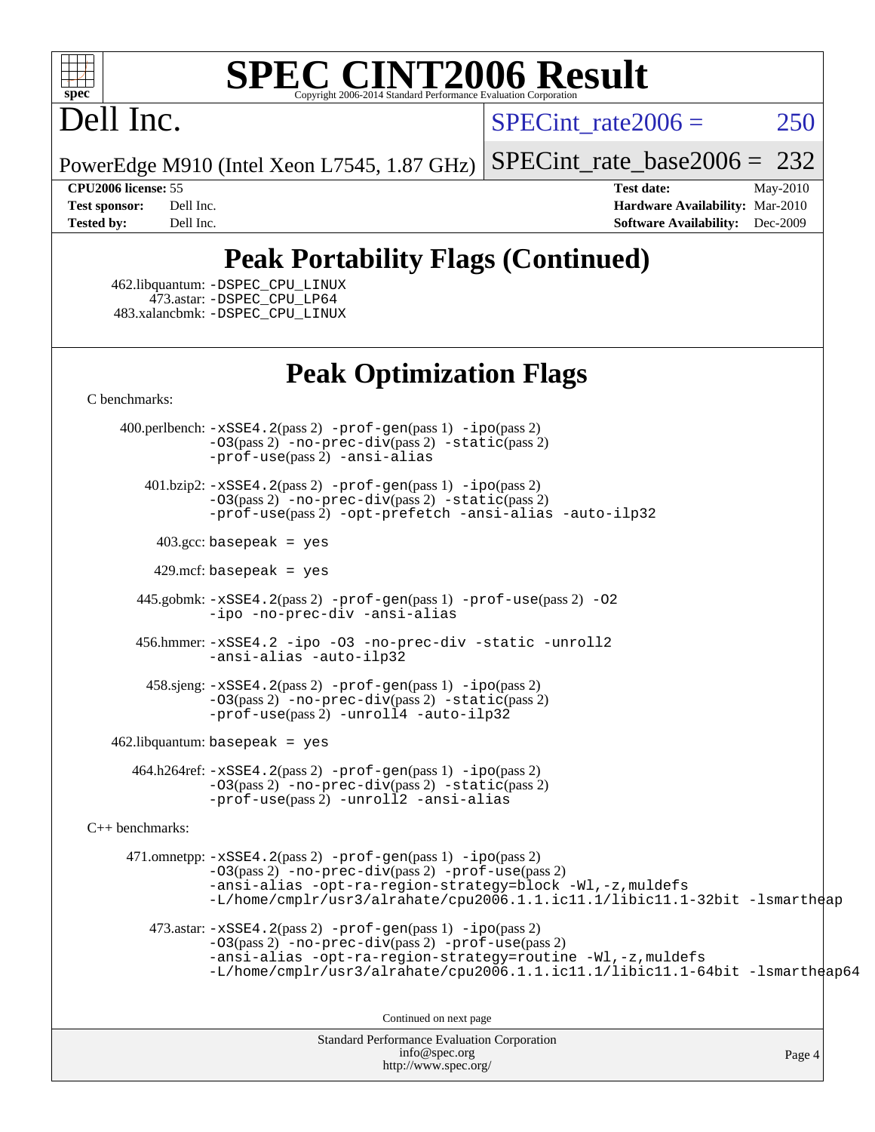

## Dell Inc.

 $SPECint rate2006 = 250$ 

[SPECint\\_rate\\_base2006 =](http://www.spec.org/auto/cpu2006/Docs/result-fields.html#SPECintratebase2006) 232

PowerEdge M910 (Intel Xeon L7545, 1.87 GHz)

**[CPU2006 license:](http://www.spec.org/auto/cpu2006/Docs/result-fields.html#CPU2006license)** 55 **[Test date:](http://www.spec.org/auto/cpu2006/Docs/result-fields.html#Testdate)** May-2010 **[Test sponsor:](http://www.spec.org/auto/cpu2006/Docs/result-fields.html#Testsponsor)** Dell Inc. **[Hardware Availability:](http://www.spec.org/auto/cpu2006/Docs/result-fields.html#HardwareAvailability)** Mar-2010 **[Tested by:](http://www.spec.org/auto/cpu2006/Docs/result-fields.html#Testedby)** Dell Inc. **[Software Availability:](http://www.spec.org/auto/cpu2006/Docs/result-fields.html#SoftwareAvailability)** Dec-2009

### **[Peak Portability Flags \(Continued\)](http://www.spec.org/auto/cpu2006/Docs/result-fields.html#PeakPortabilityFlags)**

 462.libquantum: [-DSPEC\\_CPU\\_LINUX](http://www.spec.org/cpu2006/results/res2010q3/cpu2006-20100607-11606.flags.html#b462.libquantum_peakCPORTABILITY_DSPEC_CPU_LINUX) 473.astar: [-DSPEC\\_CPU\\_LP64](http://www.spec.org/cpu2006/results/res2010q3/cpu2006-20100607-11606.flags.html#suite_peakCXXPORTABILITY473_astar_DSPEC_CPU_LP64) 483.xalancbmk: [-DSPEC\\_CPU\\_LINUX](http://www.spec.org/cpu2006/results/res2010q3/cpu2006-20100607-11606.flags.html#b483.xalancbmk_peakCXXPORTABILITY_DSPEC_CPU_LINUX)

#### **[Peak Optimization Flags](http://www.spec.org/auto/cpu2006/Docs/result-fields.html#PeakOptimizationFlags)**

[C benchmarks](http://www.spec.org/auto/cpu2006/Docs/result-fields.html#Cbenchmarks):

 400.perlbench: [-xSSE4.2](http://www.spec.org/cpu2006/results/res2010q3/cpu2006-20100607-11606.flags.html#user_peakPASS2_CFLAGSPASS2_LDCFLAGS400_perlbench_f-xSSE42_f91528193cf0b216347adb8b939d4107)(pass 2) [-prof-gen](http://www.spec.org/cpu2006/results/res2010q3/cpu2006-20100607-11606.flags.html#user_peakPASS1_CFLAGSPASS1_LDCFLAGS400_perlbench_prof_gen_e43856698f6ca7b7e442dfd80e94a8fc)(pass 1) [-ipo](http://www.spec.org/cpu2006/results/res2010q3/cpu2006-20100607-11606.flags.html#user_peakPASS2_CFLAGSPASS2_LDCFLAGS400_perlbench_f-ipo)(pass 2) [-O3](http://www.spec.org/cpu2006/results/res2010q3/cpu2006-20100607-11606.flags.html#user_peakPASS2_CFLAGSPASS2_LDCFLAGS400_perlbench_f-O3)(pass 2) [-no-prec-div](http://www.spec.org/cpu2006/results/res2010q3/cpu2006-20100607-11606.flags.html#user_peakPASS2_CFLAGSPASS2_LDCFLAGS400_perlbench_f-no-prec-div)(pass 2) [-static](http://www.spec.org/cpu2006/results/res2010q3/cpu2006-20100607-11606.flags.html#user_peakPASS2_CFLAGSPASS2_LDCFLAGS400_perlbench_f-static)(pass 2) [-prof-use](http://www.spec.org/cpu2006/results/res2010q3/cpu2006-20100607-11606.flags.html#user_peakPASS2_CFLAGSPASS2_LDCFLAGS400_perlbench_prof_use_bccf7792157ff70d64e32fe3e1250b55)(pass 2) [-ansi-alias](http://www.spec.org/cpu2006/results/res2010q3/cpu2006-20100607-11606.flags.html#user_peakCOPTIMIZE400_perlbench_f-ansi-alias)

 401.bzip2: [-xSSE4.2](http://www.spec.org/cpu2006/results/res2010q3/cpu2006-20100607-11606.flags.html#user_peakPASS2_CFLAGSPASS2_LDCFLAGS401_bzip2_f-xSSE42_f91528193cf0b216347adb8b939d4107)(pass 2) [-prof-gen](http://www.spec.org/cpu2006/results/res2010q3/cpu2006-20100607-11606.flags.html#user_peakPASS1_CFLAGSPASS1_LDCFLAGS401_bzip2_prof_gen_e43856698f6ca7b7e442dfd80e94a8fc)(pass 1) [-ipo](http://www.spec.org/cpu2006/results/res2010q3/cpu2006-20100607-11606.flags.html#user_peakPASS2_CFLAGSPASS2_LDCFLAGS401_bzip2_f-ipo)(pass 2) [-O3](http://www.spec.org/cpu2006/results/res2010q3/cpu2006-20100607-11606.flags.html#user_peakPASS2_CFLAGSPASS2_LDCFLAGS401_bzip2_f-O3)(pass 2) [-no-prec-div](http://www.spec.org/cpu2006/results/res2010q3/cpu2006-20100607-11606.flags.html#user_peakPASS2_CFLAGSPASS2_LDCFLAGS401_bzip2_f-no-prec-div)(pass 2) [-static](http://www.spec.org/cpu2006/results/res2010q3/cpu2006-20100607-11606.flags.html#user_peakPASS2_CFLAGSPASS2_LDCFLAGS401_bzip2_f-static)(pass 2) [-prof-use](http://www.spec.org/cpu2006/results/res2010q3/cpu2006-20100607-11606.flags.html#user_peakPASS2_CFLAGSPASS2_LDCFLAGS401_bzip2_prof_use_bccf7792157ff70d64e32fe3e1250b55)(pass 2) [-opt-prefetch](http://www.spec.org/cpu2006/results/res2010q3/cpu2006-20100607-11606.flags.html#user_peakCOPTIMIZE401_bzip2_f-opt-prefetch) [-ansi-alias](http://www.spec.org/cpu2006/results/res2010q3/cpu2006-20100607-11606.flags.html#user_peakCOPTIMIZE401_bzip2_f-ansi-alias) [-auto-ilp32](http://www.spec.org/cpu2006/results/res2010q3/cpu2006-20100607-11606.flags.html#user_peakCOPTIMIZE401_bzip2_f-auto-ilp32)

 $403.\text{gcc: basepeak}$  = yes

 $429$ .mcf: basepeak = yes

 445.gobmk: [-xSSE4.2](http://www.spec.org/cpu2006/results/res2010q3/cpu2006-20100607-11606.flags.html#user_peakPASS2_CFLAGSPASS2_LDCFLAGS445_gobmk_f-xSSE42_f91528193cf0b216347adb8b939d4107)(pass 2) [-prof-gen](http://www.spec.org/cpu2006/results/res2010q3/cpu2006-20100607-11606.flags.html#user_peakPASS1_CFLAGSPASS1_LDCFLAGS445_gobmk_prof_gen_e43856698f6ca7b7e442dfd80e94a8fc)(pass 1) [-prof-use](http://www.spec.org/cpu2006/results/res2010q3/cpu2006-20100607-11606.flags.html#user_peakPASS2_CFLAGSPASS2_LDCFLAGS445_gobmk_prof_use_bccf7792157ff70d64e32fe3e1250b55)(pass 2) [-O2](http://www.spec.org/cpu2006/results/res2010q3/cpu2006-20100607-11606.flags.html#user_peakCOPTIMIZE445_gobmk_f-O2) [-ipo](http://www.spec.org/cpu2006/results/res2010q3/cpu2006-20100607-11606.flags.html#user_peakCOPTIMIZE445_gobmk_f-ipo) [-no-prec-div](http://www.spec.org/cpu2006/results/res2010q3/cpu2006-20100607-11606.flags.html#user_peakCOPTIMIZE445_gobmk_f-no-prec-div) [-ansi-alias](http://www.spec.org/cpu2006/results/res2010q3/cpu2006-20100607-11606.flags.html#user_peakCOPTIMIZE445_gobmk_f-ansi-alias)

 456.hmmer: [-xSSE4.2](http://www.spec.org/cpu2006/results/res2010q3/cpu2006-20100607-11606.flags.html#user_peakCOPTIMIZE456_hmmer_f-xSSE42_f91528193cf0b216347adb8b939d4107) [-ipo](http://www.spec.org/cpu2006/results/res2010q3/cpu2006-20100607-11606.flags.html#user_peakCOPTIMIZE456_hmmer_f-ipo) [-O3](http://www.spec.org/cpu2006/results/res2010q3/cpu2006-20100607-11606.flags.html#user_peakCOPTIMIZE456_hmmer_f-O3) [-no-prec-div](http://www.spec.org/cpu2006/results/res2010q3/cpu2006-20100607-11606.flags.html#user_peakCOPTIMIZE456_hmmer_f-no-prec-div) [-static](http://www.spec.org/cpu2006/results/res2010q3/cpu2006-20100607-11606.flags.html#user_peakCOPTIMIZE456_hmmer_f-static) [-unroll2](http://www.spec.org/cpu2006/results/res2010q3/cpu2006-20100607-11606.flags.html#user_peakCOPTIMIZE456_hmmer_f-unroll_784dae83bebfb236979b41d2422d7ec2) [-ansi-alias](http://www.spec.org/cpu2006/results/res2010q3/cpu2006-20100607-11606.flags.html#user_peakCOPTIMIZE456_hmmer_f-ansi-alias) [-auto-ilp32](http://www.spec.org/cpu2006/results/res2010q3/cpu2006-20100607-11606.flags.html#user_peakCOPTIMIZE456_hmmer_f-auto-ilp32)

 458.sjeng: [-xSSE4.2](http://www.spec.org/cpu2006/results/res2010q3/cpu2006-20100607-11606.flags.html#user_peakPASS2_CFLAGSPASS2_LDCFLAGS458_sjeng_f-xSSE42_f91528193cf0b216347adb8b939d4107)(pass 2) [-prof-gen](http://www.spec.org/cpu2006/results/res2010q3/cpu2006-20100607-11606.flags.html#user_peakPASS1_CFLAGSPASS1_LDCFLAGS458_sjeng_prof_gen_e43856698f6ca7b7e442dfd80e94a8fc)(pass 1) [-ipo](http://www.spec.org/cpu2006/results/res2010q3/cpu2006-20100607-11606.flags.html#user_peakPASS2_CFLAGSPASS2_LDCFLAGS458_sjeng_f-ipo)(pass 2) [-O3](http://www.spec.org/cpu2006/results/res2010q3/cpu2006-20100607-11606.flags.html#user_peakPASS2_CFLAGSPASS2_LDCFLAGS458_sjeng_f-O3)(pass 2) [-no-prec-div](http://www.spec.org/cpu2006/results/res2010q3/cpu2006-20100607-11606.flags.html#user_peakPASS2_CFLAGSPASS2_LDCFLAGS458_sjeng_f-no-prec-div)(pass 2) [-static](http://www.spec.org/cpu2006/results/res2010q3/cpu2006-20100607-11606.flags.html#user_peakPASS2_CFLAGSPASS2_LDCFLAGS458_sjeng_f-static)(pass 2)  $-prof-use(pass 2) -unroll4 -auto-ilp32$  $-prof-use(pass 2) -unroll4 -auto-ilp32$  $-prof-use(pass 2) -unroll4 -auto-ilp32$  $-prof-use(pass 2) -unroll4 -auto-ilp32$  $-prof-use(pass 2) -unroll4 -auto-ilp32$ 

462.libquantum: basepeak = yes

 464.h264ref: [-xSSE4.2](http://www.spec.org/cpu2006/results/res2010q3/cpu2006-20100607-11606.flags.html#user_peakPASS2_CFLAGSPASS2_LDCFLAGS464_h264ref_f-xSSE42_f91528193cf0b216347adb8b939d4107)(pass 2) [-prof-gen](http://www.spec.org/cpu2006/results/res2010q3/cpu2006-20100607-11606.flags.html#user_peakPASS1_CFLAGSPASS1_LDCFLAGS464_h264ref_prof_gen_e43856698f6ca7b7e442dfd80e94a8fc)(pass 1) [-ipo](http://www.spec.org/cpu2006/results/res2010q3/cpu2006-20100607-11606.flags.html#user_peakPASS2_CFLAGSPASS2_LDCFLAGS464_h264ref_f-ipo)(pass 2) [-O3](http://www.spec.org/cpu2006/results/res2010q3/cpu2006-20100607-11606.flags.html#user_peakPASS2_CFLAGSPASS2_LDCFLAGS464_h264ref_f-O3)(pass 2) [-no-prec-div](http://www.spec.org/cpu2006/results/res2010q3/cpu2006-20100607-11606.flags.html#user_peakPASS2_CFLAGSPASS2_LDCFLAGS464_h264ref_f-no-prec-div)(pass 2) [-static](http://www.spec.org/cpu2006/results/res2010q3/cpu2006-20100607-11606.flags.html#user_peakPASS2_CFLAGSPASS2_LDCFLAGS464_h264ref_f-static)(pass 2) [-prof-use](http://www.spec.org/cpu2006/results/res2010q3/cpu2006-20100607-11606.flags.html#user_peakPASS2_CFLAGSPASS2_LDCFLAGS464_h264ref_prof_use_bccf7792157ff70d64e32fe3e1250b55)(pass 2) [-unroll2](http://www.spec.org/cpu2006/results/res2010q3/cpu2006-20100607-11606.flags.html#user_peakCOPTIMIZE464_h264ref_f-unroll_784dae83bebfb236979b41d2422d7ec2) [-ansi-alias](http://www.spec.org/cpu2006/results/res2010q3/cpu2006-20100607-11606.flags.html#user_peakCOPTIMIZE464_h264ref_f-ansi-alias)

[C++ benchmarks:](http://www.spec.org/auto/cpu2006/Docs/result-fields.html#CXXbenchmarks)

 471.omnetpp: [-xSSE4.2](http://www.spec.org/cpu2006/results/res2010q3/cpu2006-20100607-11606.flags.html#user_peakPASS2_CXXFLAGSPASS2_LDCXXFLAGS471_omnetpp_f-xSSE42_f91528193cf0b216347adb8b939d4107)(pass 2) [-prof-gen](http://www.spec.org/cpu2006/results/res2010q3/cpu2006-20100607-11606.flags.html#user_peakPASS1_CXXFLAGSPASS1_LDCXXFLAGS471_omnetpp_prof_gen_e43856698f6ca7b7e442dfd80e94a8fc)(pass 1) [-ipo](http://www.spec.org/cpu2006/results/res2010q3/cpu2006-20100607-11606.flags.html#user_peakPASS2_CXXFLAGSPASS2_LDCXXFLAGS471_omnetpp_f-ipo)(pass 2) [-O3](http://www.spec.org/cpu2006/results/res2010q3/cpu2006-20100607-11606.flags.html#user_peakPASS2_CXXFLAGSPASS2_LDCXXFLAGS471_omnetpp_f-O3)(pass 2) [-no-prec-div](http://www.spec.org/cpu2006/results/res2010q3/cpu2006-20100607-11606.flags.html#user_peakPASS2_CXXFLAGSPASS2_LDCXXFLAGS471_omnetpp_f-no-prec-div)(pass 2) [-prof-use](http://www.spec.org/cpu2006/results/res2010q3/cpu2006-20100607-11606.flags.html#user_peakPASS2_CXXFLAGSPASS2_LDCXXFLAGS471_omnetpp_prof_use_bccf7792157ff70d64e32fe3e1250b55)(pass 2) [-ansi-alias](http://www.spec.org/cpu2006/results/res2010q3/cpu2006-20100607-11606.flags.html#user_peakCXXOPTIMIZE471_omnetpp_f-ansi-alias) [-opt-ra-region-strategy=block](http://www.spec.org/cpu2006/results/res2010q3/cpu2006-20100607-11606.flags.html#user_peakCXXOPTIMIZE471_omnetpp_f-opt-ra-region-strategy-block_a0a37c372d03933b2a18d4af463c1f69) [-Wl,-z,muldefs](http://www.spec.org/cpu2006/results/res2010q3/cpu2006-20100607-11606.flags.html#user_peakEXTRA_LDFLAGS471_omnetpp_link_force_multiple1_74079c344b956b9658436fd1b6dd3a8a) [-L/home/cmplr/usr3/alrahate/cpu2006.1.1.ic11.1/libic11.1-32bit -lsmartheap](http://www.spec.org/cpu2006/results/res2010q3/cpu2006-20100607-11606.flags.html#user_peakEXTRA_LIBS471_omnetpp_SmartHeap_d86dffe4a79b79ef8890d5cce17030c3)

473.astar:  $-xSSE4$ . 2(pass 2)  $-prof-gen(pass 1) -ipo(pass 2)$  $-prof-gen(pass 1) -ipo(pass 2)$  $-prof-gen(pass 1) -ipo(pass 2)$  $-prof-gen(pass 1) -ipo(pass 2)$ [-O3](http://www.spec.org/cpu2006/results/res2010q3/cpu2006-20100607-11606.flags.html#user_peakPASS2_CXXFLAGSPASS2_LDCXXFLAGS473_astar_f-O3)(pass 2) [-no-prec-div](http://www.spec.org/cpu2006/results/res2010q3/cpu2006-20100607-11606.flags.html#user_peakPASS2_CXXFLAGSPASS2_LDCXXFLAGS473_astar_f-no-prec-div)(pass 2) [-prof-use](http://www.spec.org/cpu2006/results/res2010q3/cpu2006-20100607-11606.flags.html#user_peakPASS2_CXXFLAGSPASS2_LDCXXFLAGS473_astar_prof_use_bccf7792157ff70d64e32fe3e1250b55)(pass 2) [-ansi-alias](http://www.spec.org/cpu2006/results/res2010q3/cpu2006-20100607-11606.flags.html#user_peakCXXOPTIMIZE473_astar_f-ansi-alias) [-opt-ra-region-strategy=routine](http://www.spec.org/cpu2006/results/res2010q3/cpu2006-20100607-11606.flags.html#user_peakCXXOPTIMIZE473_astar_f-opt-ra-region-strategy-routine_ba086ea3b1d46a52e1238e2ca173ed44) [-Wl,-z,muldefs](http://www.spec.org/cpu2006/results/res2010q3/cpu2006-20100607-11606.flags.html#user_peakEXTRA_LDFLAGS473_astar_link_force_multiple1_74079c344b956b9658436fd1b6dd3a8a) [-L/home/cmplr/usr3/alrahate/cpu2006.1.1.ic11.1/libic11.1-64bit -lsmartheap64](http://www.spec.org/cpu2006/results/res2010q3/cpu2006-20100607-11606.flags.html#user_peakEXTRA_LIBS473_astar_SmartHeap64_e2306cda84805d1ab360117a79ff779c)

Continued on next page